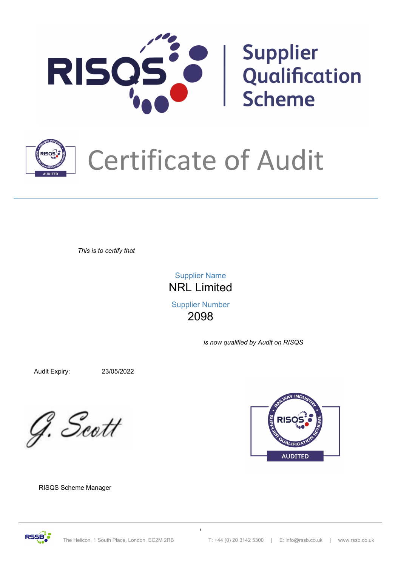



## Certificate of Audit

*This is to certify that*

NRL Limited Supplier Name Supplier Number

2098

*is now qualified by Audit on RISQS*

Audit Expiry: 23/05/2022

G. Scott



RISQS Scheme Manager

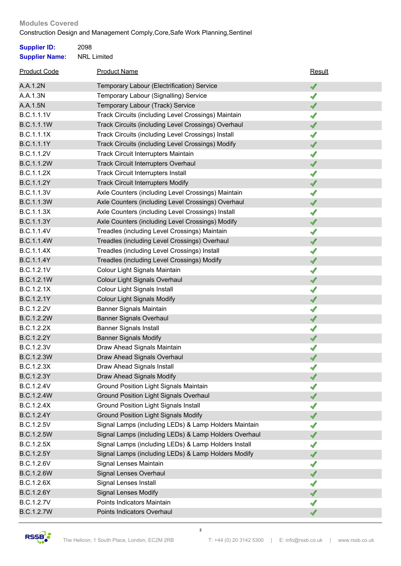## Construction Design and Management Comply,Core,Safe Work Planning,Sentinel **Modules Covered**

| <b>Supplier ID:</b>   | 2098                                                  |        |  |
|-----------------------|-------------------------------------------------------|--------|--|
| <b>Supplier Name:</b> | <b>NRL Limited</b>                                    |        |  |
| <b>Product Code</b>   | <b>Product Name</b>                                   | Result |  |
| A.A.1.2N              | Temporary Labour (Electrification) Service            | ✔      |  |
| A.A.1.3N              | Temporary Labour (Signalling) Service                 | ✔      |  |
| A.A.1.5N              | Temporary Labour (Track) Service                      | ✔      |  |
| <b>B.C.1.1.1V</b>     | Track Circuits (including Level Crossings) Maintain   | ✔      |  |
| <b>B.C.1.1.1W</b>     | Track Circuits (including Level Crossings) Overhaul   | ✔      |  |
| B.C.1.1.1X            | Track Circuits (including Level Crossings) Install    | ✔      |  |
| B.C.1.1.1Y            | Track Circuits (including Level Crossings) Modify     | ✔      |  |
| <b>B.C.1.1.2V</b>     | <b>Track Circuit Interrupters Maintain</b>            | ✔      |  |
| B.C.1.1.2W            | <b>Track Circuit Interrupters Overhaul</b>            | ✔      |  |
| <b>B.C.1.1.2X</b>     | <b>Track Circuit Interrupters Install</b>             | ✔      |  |
| B.C.1.1.2Y            | <b>Track Circuit Interrupters Modify</b>              | ✔      |  |
| <b>B.C.1.1.3V</b>     | Axle Counters (including Level Crossings) Maintain    | ✔      |  |
| <b>B.C.1.1.3W</b>     | Axle Counters (including Level Crossings) Overhaul    | ✔      |  |
| B.C.1.1.3X            | Axle Counters (including Level Crossings) Install     | ✔      |  |
| B.C.1.1.3Y            | Axle Counters (including Level Crossings) Modify      | ✔      |  |
| B.C.1.1.4V            | Treadles (including Level Crossings) Maintain         | ✔      |  |
| <b>B.C.1.1.4W</b>     | Treadles (including Level Crossings) Overhaul         | ✔      |  |
| B.C.1.1.4X            | Treadles (including Level Crossings) Install          | ✔      |  |
| B.C.1.1.4Y            | Treadles (including Level Crossings) Modify           | ✔      |  |
| B.C.1.2.1V            | Colour Light Signals Maintain                         | ✔      |  |
| B.C.1.2.1W            | Colour Light Signals Overhaul                         | ✔      |  |
| B.C.1.2.1X            | Colour Light Signals Install                          | ✔      |  |
| B.C.1.2.1Y            | <b>Colour Light Signals Modify</b>                    | ✔      |  |
| <b>B.C.1.2.2V</b>     | Banner Signals Maintain                               | √      |  |
| <b>B.C.1.2.2W</b>     | <b>Banner Signals Overhaul</b>                        | ✔      |  |
| B.C.1.2.2X            | <b>Banner Signals Install</b>                         | ✔      |  |
| <b>B.C.1.2.2Y</b>     | <b>Banner Signals Modify</b>                          | ✔      |  |
| B.C.1.2.3V            | Draw Ahead Signals Maintain                           | √      |  |
| <b>B.C.1.2.3W</b>     | Draw Ahead Signals Overhaul                           | ✔      |  |
| B.C.1.2.3X            | Draw Ahead Signals Install                            | √      |  |
| B.C.1.2.3Y            | Draw Ahead Signals Modify                             | ✔      |  |
| B.C.1.2.4V            | <b>Ground Position Light Signals Maintain</b>         | ✔      |  |
| B.C.1.2.4W            | <b>Ground Position Light Signals Overhaul</b>         | ✔      |  |
| B.C.1.2.4X            | <b>Ground Position Light Signals Install</b>          | √      |  |
| B.C.1.2.4Y            | <b>Ground Position Light Signals Modify</b>           | ✔      |  |
| B.C.1.2.5V            | Signal Lamps (including LEDs) & Lamp Holders Maintain | √      |  |
| <b>B.C.1.2.5W</b>     | Signal Lamps (including LEDs) & Lamp Holders Overhaul | ✔      |  |
| B.C.1.2.5X            | Signal Lamps (including LEDs) & Lamp Holders Install  | √      |  |
| B.C.1.2.5Y            | Signal Lamps (including LEDs) & Lamp Holders Modify   | ✔      |  |
| B.C.1.2.6V            | Signal Lenses Maintain                                | ✔      |  |
| <b>B.C.1.2.6W</b>     | Signal Lenses Overhaul                                | ✔      |  |
| B.C.1.2.6X            | Signal Lenses Install                                 | ✔      |  |
| B.C.1.2.6Y            | <b>Signal Lenses Modify</b>                           | ✔      |  |
| <b>B.C.1.2.7V</b>     | Points Indicators Maintain                            | √      |  |
| <b>B.C.1.2.7W</b>     | Points Indicators Overhaul                            |        |  |

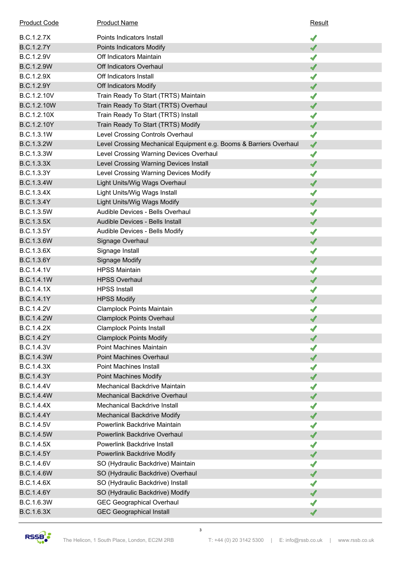| <b>Product Code</b> | <b>Product Name</b>                                                | Result               |
|---------------------|--------------------------------------------------------------------|----------------------|
| B.C.1.2.7X          | Points Indicators Install                                          | ✔                    |
| <b>B.C.1.2.7Y</b>   | Points Indicators Modify                                           | ✔                    |
| B.C.1.2.9V          | Off Indicators Maintain                                            | ✔                    |
| <b>B.C.1.2.9W</b>   | Off Indicators Overhaul                                            | ✔                    |
| B.C.1.2.9X          | Off Indicators Install                                             | √                    |
| B.C.1.2.9Y          | Off Indicators Modify                                              | ✔                    |
| B.C.1.2.10V         | Train Ready To Start (TRTS) Maintain                               | ✔                    |
| B.C.1.2.10W         | Train Ready To Start (TRTS) Overhaul                               | ✔                    |
| B.C.1.2.10X         | Train Ready To Start (TRTS) Install                                | √                    |
| B.C.1.2.10Y         | Train Ready To Start (TRTS) Modify                                 | ✔                    |
| B.C.1.3.1W          | Level Crossing Controls Overhaul                                   | $\blacktriangleleft$ |
| B.C.1.3.2W          | Level Crossing Mechanical Equipment e.g. Booms & Barriers Overhaul | $\blacktriangleleft$ |
| B.C.1.3.3W          | Level Crossing Warning Devices Overhaul                            | ✔                    |
| B.C.1.3.3X          | Level Crossing Warning Devices Install                             | ✔                    |
| B.C.1.3.3Y          | Level Crossing Warning Devices Modify                              | √                    |
| <b>B.C.1.3.4W</b>   | Light Units/Wig Wags Overhaul                                      | ✔                    |
| B.C.1.3.4X          | Light Units/Wig Wags Install                                       | ✔                    |
| B.C.1.3.4Y          | Light Units/Wig Wags Modify                                        | ✔                    |
| B.C.1.3.5W          | Audible Devices - Bells Overhaul                                   | √                    |
| <b>B.C.1.3.5X</b>   | Audible Devices - Bells Install                                    | ✔                    |
| B.C.1.3.5Y          | Audible Devices - Bells Modify                                     | ✔                    |
| <b>B.C.1.3.6W</b>   | Signage Overhaul                                                   | ✔                    |
| B.C.1.3.6X          | Signage Install                                                    | ✔                    |
| B.C.1.3.6Y          | <b>Signage Modify</b>                                              | ✔                    |
| B.C.1.4.1V          | <b>HPSS Maintain</b>                                               | √                    |
| <b>B.C.1.4.1W</b>   | <b>HPSS Overhaul</b>                                               | $\blacktriangleleft$ |
| B.C.1.4.1X          | <b>HPSS Install</b>                                                | √                    |
| B.C.1.4.1Y          | <b>HPSS Modify</b>                                                 | ✔                    |
| B.C.1.4.2V          | <b>Clamplock Points Maintain</b>                                   |                      |
| <b>B.C.1.4.2W</b>   | <b>Clamplock Points Overhaul</b>                                   | ✔                    |
| B.C.1.4.2X          | <b>Clamplock Points Install</b>                                    | ✔                    |
| <b>B.C.1.4.2Y</b>   | <b>Clamplock Points Modify</b>                                     | ✔                    |
| B.C.1.4.3V          | <b>Point Machines Maintain</b>                                     | ✔                    |
| <b>B.C.1.4.3W</b>   | <b>Point Machines Overhaul</b>                                     | ✔                    |
| B.C.1.4.3X          | <b>Point Machines Install</b>                                      | √                    |
| <b>B.C.1.4.3Y</b>   | <b>Point Machines Modify</b>                                       | ✔                    |
| B.C.1.4.4V          | Mechanical Backdrive Maintain                                      | √                    |
| <b>B.C.1.4.4W</b>   | Mechanical Backdrive Overhaul                                      | ✔                    |
| B.C.1.4.4X          | Mechanical Backdrive Install                                       | ✔                    |
| <b>B.C.1.4.4Y</b>   | Mechanical Backdrive Modify                                        | ✔                    |
| B.C.1.4.5V          | Powerlink Backdrive Maintain                                       | √                    |
| <b>B.C.1.4.5W</b>   | Powerlink Backdrive Overhaul                                       | ✔                    |
| B.C.1.4.5X          | Powerlink Backdrive Install                                        | √                    |
| B.C.1.4.5Y          | Powerlink Backdrive Modify                                         | ✔                    |
| B.C.1.4.6V          | SO (Hydraulic Backdrive) Maintain                                  | √                    |
| <b>B.C.1.4.6W</b>   | SO (Hydraulic Backdrive) Overhaul                                  | ✔                    |
| B.C.1.4.6X          | SO (Hydraulic Backdrive) Install                                   | √                    |
| B.C.1.4.6Y          | SO (Hydraulic Backdrive) Modify                                    | ✔                    |
| B.C.1.6.3W          | <b>GEC Geographical Overhaul</b>                                   | √                    |
| B.C.1.6.3X          | <b>GEC Geographical Install</b>                                    | ✔                    |

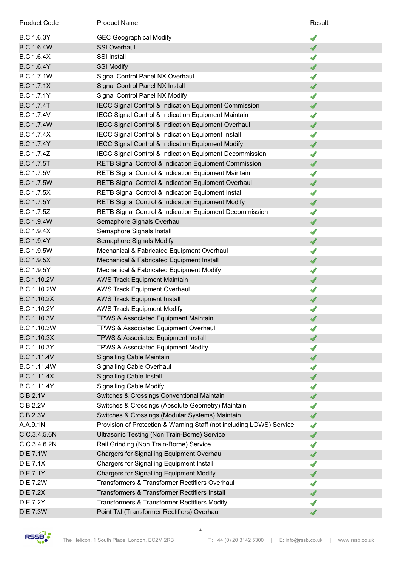| <b>Product Code</b> | <b>Product Name</b>                                                  | Result                   |
|---------------------|----------------------------------------------------------------------|--------------------------|
| B.C.1.6.3Y          | <b>GEC Geographical Modify</b>                                       | ✔                        |
| <b>B.C.1.6.4W</b>   | <b>SSI Overhaul</b>                                                  | ✔                        |
| B.C.1.6.4X          | <b>SSI Install</b>                                                   | ✔                        |
| B.C.1.6.4Y          | <b>SSI Modify</b>                                                    | ✔                        |
| B.C.1.7.1W          | Signal Control Panel NX Overhaul                                     | √                        |
| B.C.1.7.1X          | Signal Control Panel NX Install                                      | ✔                        |
| B.C.1.7.1Y          | Signal Control Panel NX Modify                                       | ✔                        |
| <b>B.C.1.7.4T</b>   | IECC Signal Control & Indication Equipment Commission                | ✔                        |
| B.C.1.7.4V          | <b>IECC Signal Control &amp; Indication Equipment Maintain</b>       | √                        |
| <b>B.C.1.7.4W</b>   | IECC Signal Control & Indication Equipment Overhaul                  | ✔                        |
| B.C.1.7.4X          | IECC Signal Control & Indication Equipment Install                   | ✔                        |
| B.C.1.7.4Y          | IECC Signal Control & Indication Equipment Modify                    | ✔                        |
| B.C.1.7.4Z          | IECC Signal Control & Indication Equipment Decommission              | √                        |
| <b>B.C.1.7.5T</b>   | RETB Signal Control & Indication Equipment Commission                | ✔                        |
| <b>B.C.1.7.5V</b>   | RETB Signal Control & Indication Equipment Maintain                  | √                        |
| <b>B.C.1.7.5W</b>   | RETB Signal Control & Indication Equipment Overhaul                  | ✔                        |
| B.C.1.7.5X          | RETB Signal Control & Indication Equipment Install                   | √                        |
| B.C.1.7.5Y          | <b>RETB Signal Control &amp; Indication Equipment Modify</b>         | ✔                        |
| B.C.1.7.5Z          | RETB Signal Control & Indication Equipment Decommission              | √                        |
| <b>B.C.1.9.4W</b>   | Semaphore Signals Overhaul                                           | ✔                        |
| B.C.1.9.4X          | Semaphore Signals Install                                            | ✔                        |
| B.C.1.9.4Y          | Semaphore Signals Modify                                             | ✔                        |
| B.C.1.9.5W          | Mechanical & Fabricated Equipment Overhaul                           | ✔                        |
| <b>B.C.1.9.5X</b>   | Mechanical & Fabricated Equipment Install                            | ✔                        |
| B.C.1.9.5Y          | Mechanical & Fabricated Equipment Modify                             | √                        |
| B.C.1.10.2V         | <b>AWS Track Equipment Maintain</b>                                  | ✔                        |
| B.C.1.10.2W         | <b>AWS Track Equipment Overhaul</b>                                  | √                        |
| B.C.1.10.2X         | <b>AWS Track Equipment Install</b>                                   | ✔                        |
| B.C.1.10.2Y         | <b>AWS Track Equipment Modify</b>                                    | √                        |
| B.C.1.10.3V         | <b>TPWS &amp; Associated Equipment Maintain</b>                      | √                        |
| B.C.1.10.3W         | TPWS & Associated Equipment Overhaul                                 | $\overline{\mathcal{A}}$ |
| B.C.1.10.3X         | <b>TPWS &amp; Associated Equipment Install</b>                       | ✔                        |
| B.C.1.10.3Y         | TPWS & Associated Equipment Modify                                   | √                        |
| B.C.1.11.4V         | Signalling Cable Maintain                                            | ✔                        |
| B.C.1.11.4W         | Signalling Cable Overhaul                                            | √                        |
| B.C.1.11.4X         | <b>Signalling Cable Install</b>                                      | ✔                        |
| B.C.1.11.4Y         | <b>Signalling Cable Modify</b>                                       | √                        |
| C.B.2.1V            | Switches & Crossings Conventional Maintain                           | ✔                        |
| C.B.2.2V            | Switches & Crossings (Absolute Geometry) Maintain                    | √                        |
| C.B.2.3V            | Switches & Crossings (Modular Systems) Maintain                      | ✔                        |
| A.A.9.1N            | Provision of Protection & Warning Staff (not including LOWS) Service | √                        |
| C.C.3.4.5.6N        | Ultrasonic Testing (Non Train-Borne) Service                         | ✔                        |
| C.C.3.4.6.2N        | Rail Grinding (Non Train-Borne) Service                              | √                        |
| D.E.7.1W            | <b>Chargers for Signalling Equipment Overhaul</b>                    | ✔                        |
| D.E.7.1X            | <b>Chargers for Signalling Equipment Install</b>                     | √                        |
| D.E.7.1Y            | <b>Chargers for Signalling Equipment Modify</b>                      | ✔                        |
| D.E.7.2W            | Transformers & Transformer Rectifiers Overhaul                       | √                        |
| D.E.7.2X            | Transformers & Transformer Rectifiers Install                        | ✔                        |
| D.E.7.2Y            | Transformers & Transformer Rectifiers Modify                         |                          |
| D.E.7.3W            | Point T/J (Transformer Rectifiers) Overhaul                          | ✔                        |
|                     |                                                                      |                          |

**4**